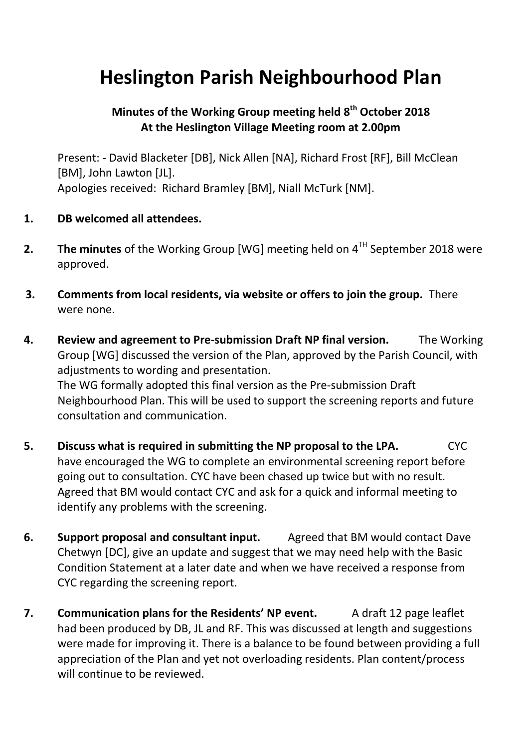## **Heslington Parish Neighbourhood Plan**

## **Minutes of the Working Group meeting held 8th October 2018 At the Heslington Village Meeting room at 2.00pm**

Present: - David Blacketer [DB], Nick Allen [NA], Richard Frost [RF], Bill McClean [BM], John Lawton [JL]. Apologies received: Richard Bramley [BM], Niall McTurk [NM].

- **1. DB welcomed all attendees.**
- **2. The minutes** of the Working Group [WG] meeting held on  $4<sup>TH</sup>$  September 2018 were approved.
- **3. Comments from local residents, via website or offers to join the group.** There were none.
- **4. Review and agreement to Pre-submission Draft NP final version.** The Working Group [WG] discussed the version of the Plan, approved by the Parish Council, with adjustments to wording and presentation. The WG formally adopted this final version as the Pre-submission Draft Neighbourhood Plan. This will be used to support the screening reports and future consultation and communication.
- **5. Discuss what is required in submitting the NP proposal to the LPA.** CYC have encouraged the WG to complete an environmental screening report before going out to consultation. CYC have been chased up twice but with no result. Agreed that BM would contact CYC and ask for a quick and informal meeting to identify any problems with the screening.
- **6. Support proposal and consultant input.** Agreed that BM would contact Dave Chetwyn [DC], give an update and suggest that we may need help with the Basic Condition Statement at a later date and when we have received a response from CYC regarding the screening report.
- **7. Communication plans for the Residents' NP event.** A draft 12 page leaflet had been produced by DB, JL and RF. This was discussed at length and suggestions were made for improving it. There is a balance to be found between providing a full appreciation of the Plan and yet not overloading residents. Plan content/process will continue to be reviewed.